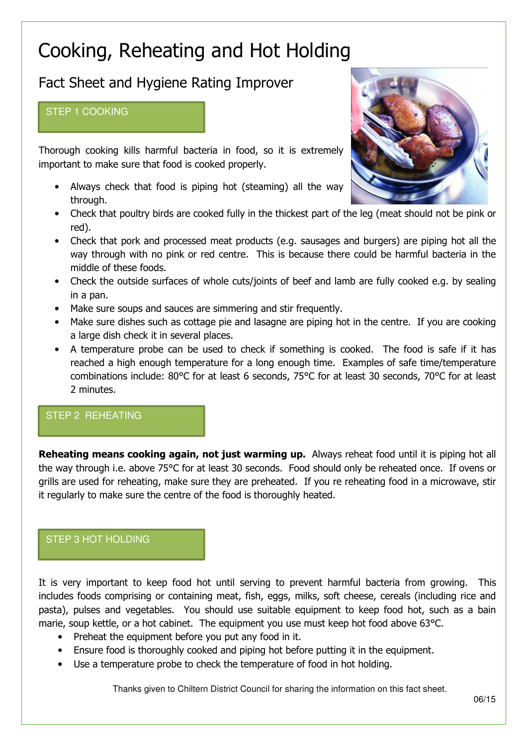# Cooking, Reheating and Hot Holding

# Fact Sheet and Hygiene Rating Improver

#### STEP 1 COOKING

Thorough cooking kills harmful bacteria in food, so it is extremely important to make sure that food is cooked properly.

- Always check that food is piping hot (steaming) all the way through.
- Check that poultry birds are cooked fully in the thickest part of the leg (meat should not be pink or red).
- Check that pork and processed meat products (e.g. sausages and burgers) are piping hot all the way through with no pink or red centre. This is because there could be harmful bacteria in the middle of these foods.
- Check the outside surfaces of whole cuts/joints of beef and lamb are fully cooked e.g. by sealing in a pan.
- Make sure soups and sauces are simmering and stir frequently.
- Make sure dishes such as cottage pie and lasagne are piping hot in the centre. If you are cooking a large dish check it in several places.
- A temperature probe can be used to check if something is cooked. The food is safe if it has reached a high enough temperature for a long enough time. Examples of safe time/temperature combinations include: 80°C for at least 6 seconds, 75°C for at least 30 seconds, 70°C for at least 2 minutes.

## STEP 2 REHEATING

Reheating means cooking again, not just warming up. Always reheat food until it is piping hot all the way through i.e. above 75°C for at least 30 seconds. Food should only be reheated once. If ovens or grills are used for reheating, make sure they are preheated. If you re reheating food in a microwave, stir it regularly to make sure the centre of the food is thoroughly heated.

## STEP 3 HOT HOLDING

It is very important to keep food hot until serving to prevent harmful bacteria from growing. This includes foods comprising or containing meat, fish, eggs, milks, soft cheese, cereals (including rice and pasta), pulses and vegetables. You should use suitable equipment to keep food hot, such as a bain marie, soup kettle, or a hot cabinet. The equipment you use must keep hot food above 63°C.

- Preheat the equipment before you put any food in it.
- Ensure food is thoroughly cooked and piping hot before putting it in the equipment.
- Use a temperature probe to check the temperature of food in hot holding.

Thanks given to Chiltern District Council for sharing the information on this fact sheet.